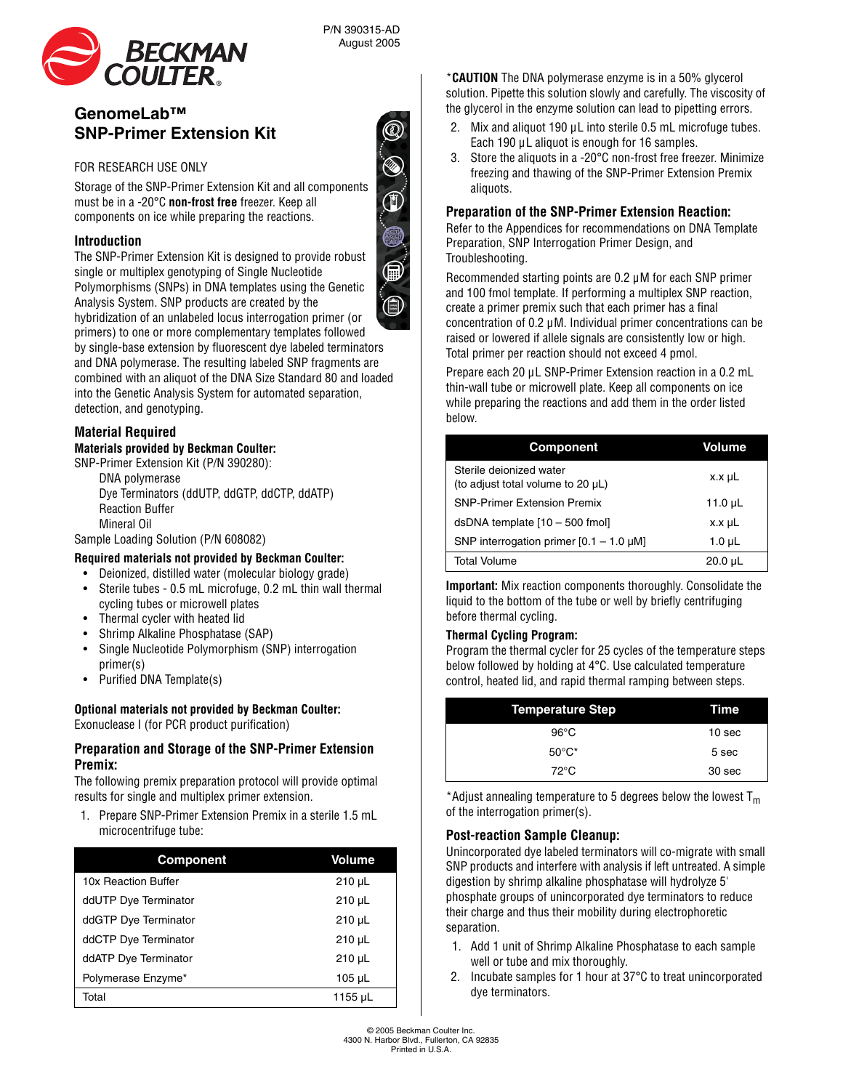

# **GenomeLab™ SNP-Primer Extension Kit**

## FOR RESEARCH USE ONLY

Storage of the SNP-Primer Extension Kit and all components must be in a -20°C **non-frost free** freezer. Keep all components on ice while preparing the reactions.

#### **Introduction**

The SNP-Primer Extension Kit is designed to provide robust single or multiplex genotyping of Single Nucleotide Polymorphisms (SNPs) in DNA templates using the Genetic Analysis System. SNP products are created by the hybridization of an unlabeled locus interrogation primer (or

P/N 390315-AD August 2005

primers) to one or more complementary templates followed by single-base extension by fluorescent dye labeled terminators and DNA polymerase. The resulting labeled SNP fragments are combined with an aliquot of the DNA Size Standard 80 and loaded into the Genetic Analysis System for automated separation, detection, and genotyping.

# **Material Required**

# **Materials provided by Beckman Coulter:**

SNP-Primer Extension Kit (P/N 390280):

DNA polymerase Dye Terminators (ddUTP, ddGTP, ddCTP, ddATP) Reaction Buffer Mineral Oil

Sample Loading Solution (P/N 608082)

#### **Required materials not provided by Beckman Coulter:**

- Deionized, distilled water (molecular biology grade)
- Sterile tubes 0.5 mL microfuge, 0.2 mL thin wall thermal cycling tubes or microwell plates
- Thermal cycler with heated lid
- Shrimp Alkaline Phosphatase (SAP)
- Single Nucleotide Polymorphism (SNP) interrogation primer(s)
- Purified DNA Template(s)

# **Optional materials not provided by Beckman Coulter:**

Exonuclease I (for PCR product purification)

#### **Preparation and Storage of the SNP-Primer Extension Premix:**

The following premix preparation protocol will provide optimal results for single and multiplex primer extension.

1. Prepare SNP-Primer Extension Premix in a sterile 1.5 mL microcentrifuge tube:

| <b>Component</b>     | Volume      |
|----------------------|-------------|
| 10x Reaction Buffer  | $210 \mu L$ |
| ddUTP Dye Terminator | $210 \mu L$ |
| ddGTP Dye Terminator | $210 \mu L$ |
| ddCTP Dye Terminator | $210 \mu L$ |
| ddATP Dye Terminator | $210 \mu L$ |
| Polymerase Enzyme*   | $105 \mu L$ |
| Total                | 1155 µL     |

\***CAUTION** The DNA polymerase enzyme is in a 50% glycerol solution. Pipette this solution slowly and carefully. The viscosity of the glycerol in the enzyme solution can lead to pipetting errors.

- 2. Mix and aliquot 190 uL into sterile 0.5 mL microfuge tubes. Each 190  $\mu$ L aliquot is enough for 16 samples.
- 3. Store the aliquots in a -20°C non-frost free freezer. Minimize freezing and thawing of the SNP-Primer Extension Premix aliquots.

## **Preparation of the SNP-Primer Extension Reaction:**

Refer to the Appendices for recommendations on DNA Template Preparation, SNP Interrogation Primer Design, and Troubleshooting.

Recommended starting points are 0.2 µM for each SNP primer and 100 fmol template. If performing a multiplex SNP reaction, create a primer premix such that each primer has a final concentration of 0.2 µM. Individual primer concentrations can be raised or lowered if allele signals are consistently low or high. Total primer per reaction should not exceed 4 pmol.

Prepare each 20 µL SNP-Primer Extension reaction in a 0.2 mL thin-wall tube or microwell plate. Keep all components on ice while preparing the reactions and add them in the order listed below.

| Component                                                    | <b>Volume</b> |
|--------------------------------------------------------------|---------------|
| Sterile deionized water<br>(to adjust total volume to 20 µL) | x.x µL        |
| <b>SNP-Primer Extension Premix</b>                           | 11.0 $\mu$ L  |
| dsDNA template [10 - 500 fmol]                               | $x.x \mu L$   |
| SNP interrogation primer $[0.1 - 1.0 \mu M]$                 | $1.0 \mu L$   |
| <b>Total Volume</b>                                          | 20.0 µL       |

**Important:** Mix reaction components thoroughly. Consolidate the liquid to the bottom of the tube or well by briefly centrifuging before thermal cycling.

#### **Thermal Cycling Program:**

Program the thermal cycler for 25 cycles of the temperature steps below followed by holding at 4°C. Use calculated temperature control, heated lid, and rapid thermal ramping between steps.

| <b>Temperature Step</b> | Time   |
|-------------------------|--------|
| $96^{\circ}$ C          | 10 sec |
| $50^{\circ}$ C*         | 5 sec  |
| $72^{\circ}$ C          | 30 sec |

\*Adjust annealing temperature to 5 degrees below the lowest  $T_m$ of the interrogation primer(s).

# **Post-reaction Sample Cleanup:**

Unincorporated dye labeled terminators will co-migrate with small SNP products and interfere with analysis if left untreated. A simple digestion by shrimp alkaline phosphatase will hydrolyze 5' phosphate groups of unincorporated dye terminators to reduce their charge and thus their mobility during electrophoretic separation.

- 1. Add 1 unit of Shrimp Alkaline Phosphatase to each sample well or tube and mix thoroughly.
- 2. Incubate samples for 1 hour at 37°C to treat unincorporated dye terminators.